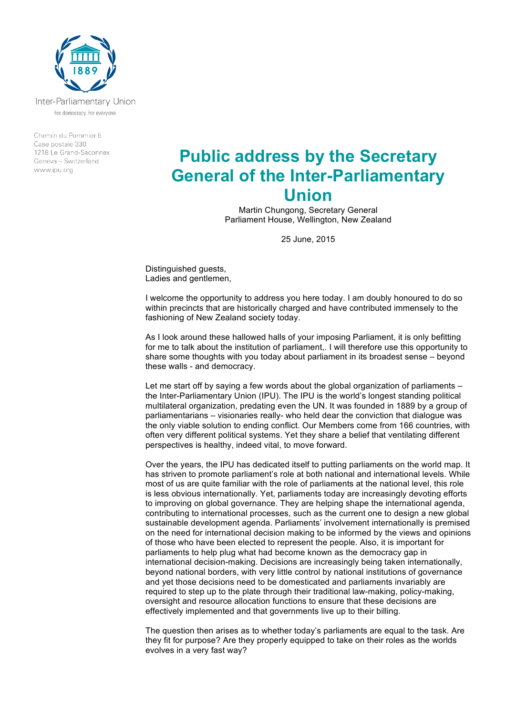

Inter-Parliamentary Union For democracy. For everyone.

Chemin du Pommier 5 Case postale 330 1218 Le Grand-Saconnex Geneva - Switzerland www.ipu.org

# **Public address by the Secretary General of the Inter-Parliamentary Union**

Martin Chungong, Secretary General Parliament House, Wellington, New Zealand

25 June, 2015

Distinguished guests, Ladies and gentlemen,

I welcome the opportunity to address you here today. I am doubly honoured to do so within precincts that are historically charged and have contributed immensely to the fashioning of New Zealand society today.

As I look around these hallowed halls of your imposing Parliament, it is only befitting for me to talk about the institution of parliament,. I will therefore use this opportunity to share some thoughts with you today about parliament in its broadest sense – beyond these walls - and democracy.

Let me start off by saying a few words about the global organization of parliaments – the Inter-Parliamentary Union (IPU). The IPU is the world's longest standing political multilateral organization, predating even the UN. It was founded in 1889 by a group of parliamentarians – visionaries really- who held dear the conviction that dialogue was the only viable solution to ending conflict. Our Members come from 166 countries, with often very different political systems. Yet they share a belief that ventilating different perspectives is healthy, indeed vital, to move forward.

Over the years, the IPU has dedicated itself to putting parliaments on the world map. It has striven to promote parliament's role at both national and international levels. While most of us are quite familiar with the role of parliaments at the national level, this role is less obvious internationally. Yet, parliaments today are increasingly devoting efforts to improving on global governance. They are helping shape the international agenda, contributing to international processes, such as the current one to design a new global sustainable development agenda. Parliaments' involvement internationally is premised on the need for international decision making to be informed by the views and opinions of those who have been elected to represent the people. Also, it is important for parliaments to help plug what had become known as the democracy gap in international decision-making. Decisions are increasingly being taken internationally, beyond national borders, with very little control by national institutions of governance and yet those decisions need to be domesticated and parliaments invariably are required to step up to the plate through their traditional law-making, policy-making, oversight and resource allocation functions to ensure that these decisions are effectively implemented and that governments live up to their billing.

The question then arises as to whether today's parliaments are equal to the task. Are they fit for purpose? Are they properly equipped to take on their roles as the worlds evolves in a very fast way?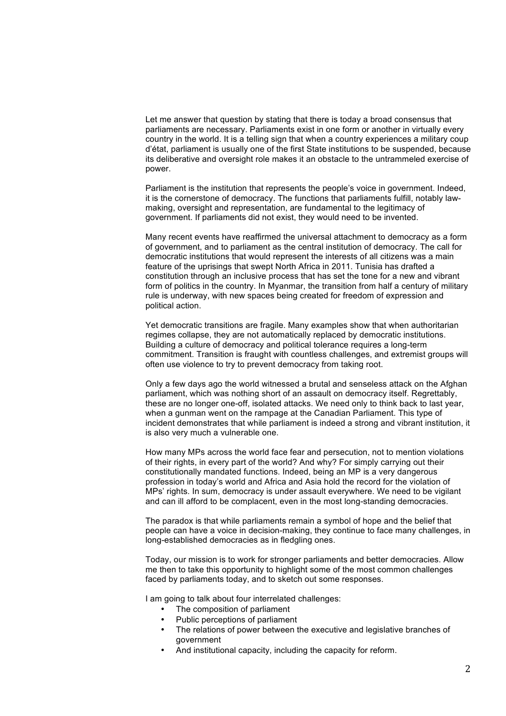Let me answer that question by stating that there is today a broad consensus that parliaments are necessary. Parliaments exist in one form or another in virtually every country in the world. It is a telling sign that when a country experiences a military coup d'état, parliament is usually one of the first State institutions to be suspended, because its deliberative and oversight role makes it an obstacle to the untrammeled exercise of power.

Parliament is the institution that represents the people's voice in government. Indeed, it is the cornerstone of democracy. The functions that parliaments fulfill, notably lawmaking, oversight and representation, are fundamental to the legitimacy of government. If parliaments did not exist, they would need to be invented.

Many recent events have reaffirmed the universal attachment to democracy as a form of government, and to parliament as the central institution of democracy. The call for democratic institutions that would represent the interests of all citizens was a main feature of the uprisings that swept North Africa in 2011. Tunisia has drafted a constitution through an inclusive process that has set the tone for a new and vibrant form of politics in the country. In Myanmar, the transition from half a century of military rule is underway, with new spaces being created for freedom of expression and political action.

Yet democratic transitions are fragile. Many examples show that when authoritarian regimes collapse, they are not automatically replaced by democratic institutions. Building a culture of democracy and political tolerance requires a long-term commitment. Transition is fraught with countless challenges, and extremist groups will often use violence to try to prevent democracy from taking root.

Only a few days ago the world witnessed a brutal and senseless attack on the Afghan parliament, which was nothing short of an assault on democracy itself. Regrettably, these are no longer one-off, isolated attacks. We need only to think back to last year, when a gunman went on the rampage at the Canadian Parliament. This type of incident demonstrates that while parliament is indeed a strong and vibrant institution, it is also very much a vulnerable one.

How many MPs across the world face fear and persecution, not to mention violations of their rights, in every part of the world? And why? For simply carrying out their constitutionally mandated functions. Indeed, being an MP is a very dangerous profession in today's world and Africa and Asia hold the record for the violation of MPs' rights. In sum, democracy is under assault everywhere. We need to be vigilant and can ill afford to be complacent, even in the most long-standing democracies.

The paradox is that while parliaments remain a symbol of hope and the belief that people can have a voice in decision-making, they continue to face many challenges, in long-established democracies as in fledgling ones.

Today, our mission is to work for stronger parliaments and better democracies. Allow me then to take this opportunity to highlight some of the most common challenges faced by parliaments today, and to sketch out some responses.

I am going to talk about four interrelated challenges:

- The composition of parliament
- Public perceptions of parliament
- The relations of power between the executive and legislative branches of government
- And institutional capacity, including the capacity for reform.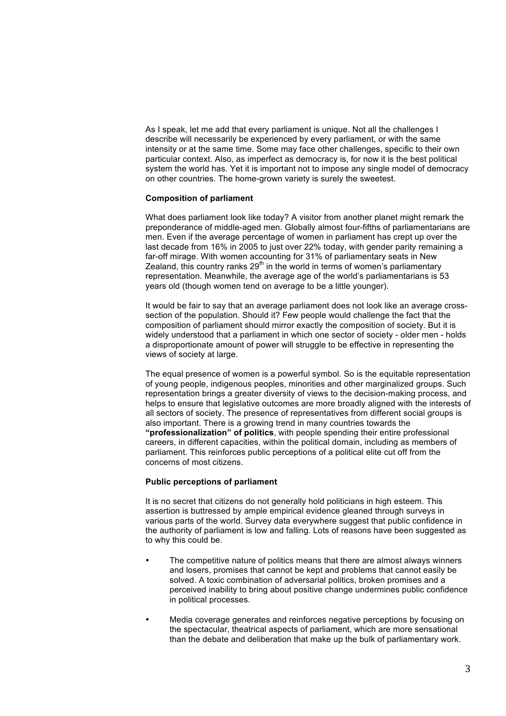As I speak, let me add that every parliament is unique. Not all the challenges I describe will necessarily be experienced by every parliament, or with the same intensity or at the same time. Some may face other challenges, specific to their own particular context. Also, as imperfect as democracy is, for now it is the best political system the world has. Yet it is important not to impose any single model of democracy on other countries. The home-grown variety is surely the sweetest.

### **Composition of parliament**

What does parliament look like today? A visitor from another planet might remark the preponderance of middle-aged men. Globally almost four-fifths of parliamentarians are men. Even if the average percentage of women in parliament has crept up over the last decade from 16% in 2005 to just over 22% today, with gender parity remaining a far-off mirage. With women accounting for 31% of parliamentary seats in New Zealand, this country ranks  $29<sup>th</sup>$  in the world in terms of women's parliamentary representation. Meanwhile, the average age of the world's parliamentarians is 53 years old (though women tend on average to be a little younger).

It would be fair to say that an average parliament does not look like an average crosssection of the population. Should it? Few people would challenge the fact that the composition of parliament should mirror exactly the composition of society. But it is widely understood that a parliament in which one sector of society - older men - holds a disproportionate amount of power will struggle to be effective in representing the views of society at large.

The equal presence of women is a powerful symbol. So is the equitable representation of young people, indigenous peoples, minorities and other marginalized groups. Such representation brings a greater diversity of views to the decision-making process, and helps to ensure that legislative outcomes are more broadly aligned with the interests of all sectors of society. The presence of representatives from different social groups is also important. There is a growing trend in many countries towards the **"professionalization" of politics**, with people spending their entire professional careers, in different capacities, within the political domain, including as members of parliament. This reinforces public perceptions of a political elite cut off from the concerns of most citizens.

### **Public perceptions of parliament**

It is no secret that citizens do not generally hold politicians in high esteem. This assertion is buttressed by ample empirical evidence gleaned through surveys in various parts of the world. Survey data everywhere suggest that public confidence in the authority of parliament is low and falling. Lots of reasons have been suggested as to why this could be.

- The competitive nature of politics means that there are almost always winners and losers, promises that cannot be kept and problems that cannot easily be solved. A toxic combination of adversarial politics, broken promises and a perceived inability to bring about positive change undermines public confidence in political processes.
- Media coverage generates and reinforces negative perceptions by focusing on the spectacular, theatrical aspects of parliament, which are more sensational than the debate and deliberation that make up the bulk of parliamentary work.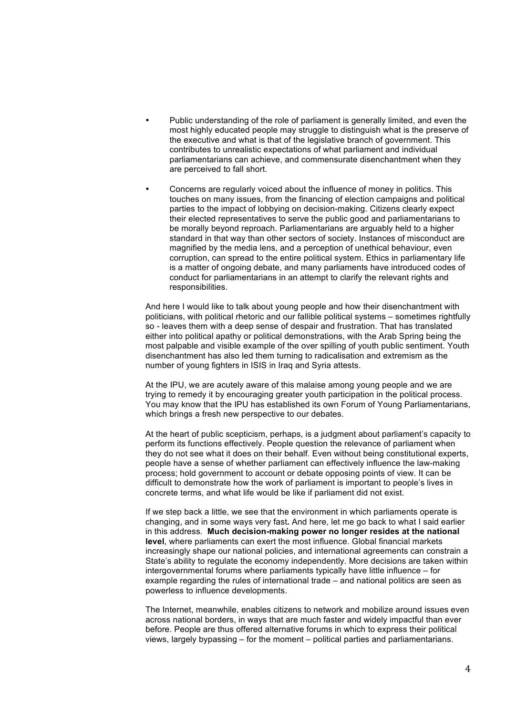- Public understanding of the role of parliament is generally limited, and even the most highly educated people may struggle to distinguish what is the preserve of the executive and what is that of the legislative branch of government. This contributes to unrealistic expectations of what parliament and individual parliamentarians can achieve, and commensurate disenchantment when they are perceived to fall short.
- Concerns are regularly voiced about the influence of money in politics. This touches on many issues, from the financing of election campaigns and political parties to the impact of lobbying on decision-making. Citizens clearly expect their elected representatives to serve the public good and parliamentarians to be morally beyond reproach. Parliamentarians are arguably held to a higher standard in that way than other sectors of society. Instances of misconduct are magnified by the media lens, and a perception of unethical behaviour, even corruption, can spread to the entire political system. Ethics in parliamentary life is a matter of ongoing debate, and many parliaments have introduced codes of conduct for parliamentarians in an attempt to clarify the relevant rights and responsibilities.

And here I would like to talk about young people and how their disenchantment with politicians, with political rhetoric and our fallible political systems – sometimes rightfully so - leaves them with a deep sense of despair and frustration. That has translated either into political apathy or political demonstrations, with the Arab Spring being the most palpable and visible example of the over spilling of youth public sentiment. Youth disenchantment has also led them turning to radicalisation and extremism as the number of young fighters in ISIS in Iraq and Syria attests.

At the IPU, we are acutely aware of this malaise among young people and we are trying to remedy it by encouraging greater youth participation in the political process. You may know that the IPU has established its own Forum of Young Parliamentarians, which brings a fresh new perspective to our debates.

At the heart of public scepticism, perhaps, is a judgment about parliament's capacity to perform its functions effectively. People question the relevance of parliament when they do not see what it does on their behalf. Even without being constitutional experts, people have a sense of whether parliament can effectively influence the law-making process; hold government to account or debate opposing points of view. It can be difficult to demonstrate how the work of parliament is important to people's lives in concrete terms, and what life would be like if parliament did not exist.

If we step back a little, we see that the environment in which parliaments operate is changing, and in some ways very fast**.** And here, let me go back to what I said earlier in this address. **Much decision-making power no longer resides at the national level**, where parliaments can exert the most influence. Global financial markets increasingly shape our national policies, and international agreements can constrain a State's ability to regulate the economy independently. More decisions are taken within intergovernmental forums where parliaments typically have little influence – for example regarding the rules of international trade – and national politics are seen as powerless to influence developments.

The Internet, meanwhile, enables citizens to network and mobilize around issues even across national borders, in ways that are much faster and widely impactful than ever before. People are thus offered alternative forums in which to express their political views, largely bypassing – for the moment – political parties and parliamentarians.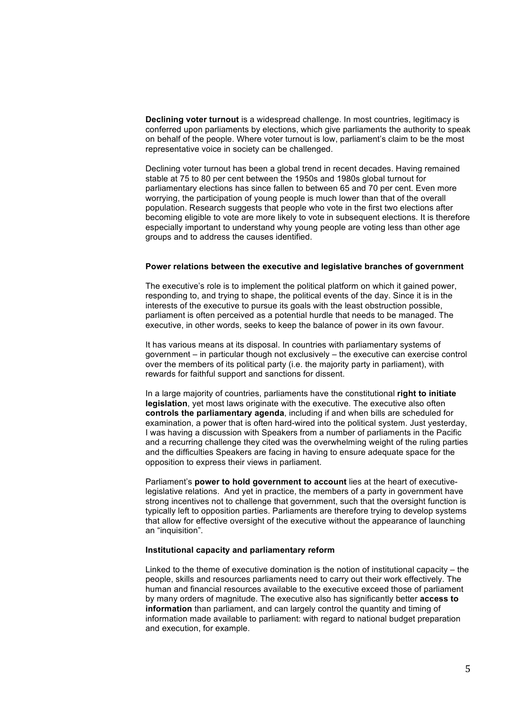**Declining voter turnout** is a widespread challenge. In most countries, legitimacy is conferred upon parliaments by elections, which give parliaments the authority to speak on behalf of the people. Where voter turnout is low, parliament's claim to be the most representative voice in society can be challenged.

Declining voter turnout has been a global trend in recent decades. Having remained stable at 75 to 80 per cent between the 1950s and 1980s global turnout for parliamentary elections has since fallen to between 65 and 70 per cent. Even more worrying, the participation of young people is much lower than that of the overall population. Research suggests that people who vote in the first two elections after becoming eligible to vote are more likely to vote in subsequent elections. It is therefore especially important to understand why young people are voting less than other age groups and to address the causes identified.

#### **Power relations between the executive and legislative branches of government**

The executive's role is to implement the political platform on which it gained power, responding to, and trying to shape, the political events of the day. Since it is in the interests of the executive to pursue its goals with the least obstruction possible, parliament is often perceived as a potential hurdle that needs to be managed. The executive, in other words, seeks to keep the balance of power in its own favour.

It has various means at its disposal. In countries with parliamentary systems of government – in particular though not exclusively – the executive can exercise control over the members of its political party (i.e. the majority party in parliament), with rewards for faithful support and sanctions for dissent.

In a large majority of countries, parliaments have the constitutional **right to initiate legislation**, yet most laws originate with the executive. The executive also often **controls the parliamentary agenda**, including if and when bills are scheduled for examination, a power that is often hard-wired into the political system. Just yesterday, I was having a discussion with Speakers from a number of parliaments in the Pacific and a recurring challenge they cited was the overwhelming weight of the ruling parties and the difficulties Speakers are facing in having to ensure adequate space for the opposition to express their views in parliament.

Parliament's **power to hold government to account** lies at the heart of executivelegislative relations. And yet in practice, the members of a party in government have strong incentives not to challenge that government, such that the oversight function is typically left to opposition parties. Parliaments are therefore trying to develop systems that allow for effective oversight of the executive without the appearance of launching an "inquisition".

## **Institutional capacity and parliamentary reform**

Linked to the theme of executive domination is the notion of institutional capacity – the people, skills and resources parliaments need to carry out their work effectively. The human and financial resources available to the executive exceed those of parliament by many orders of magnitude. The executive also has significantly better **access to information** than parliament, and can largely control the quantity and timing of information made available to parliament: with regard to national budget preparation and execution, for example.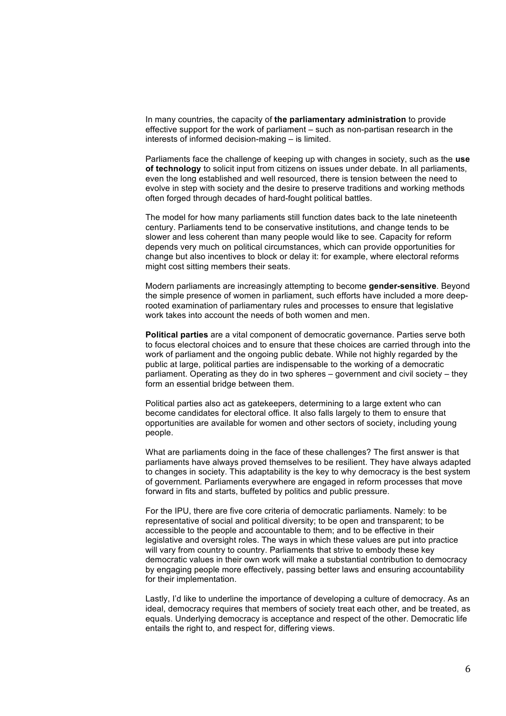In many countries, the capacity of **the parliamentary administration** to provide effective support for the work of parliament – such as non-partisan research in the interests of informed decision-making – is limited.

Parliaments face the challenge of keeping up with changes in society, such as the **use of technology** to solicit input from citizens on issues under debate. In all parliaments, even the long established and well resourced, there is tension between the need to evolve in step with society and the desire to preserve traditions and working methods often forged through decades of hard-fought political battles.

The model for how many parliaments still function dates back to the late nineteenth century. Parliaments tend to be conservative institutions, and change tends to be slower and less coherent than many people would like to see. Capacity for reform depends very much on political circumstances, which can provide opportunities for change but also incentives to block or delay it: for example, where electoral reforms might cost sitting members their seats.

Modern parliaments are increasingly attempting to become **gender-sensitive**. Beyond the simple presence of women in parliament, such efforts have included a more deeprooted examination of parliamentary rules and processes to ensure that legislative work takes into account the needs of both women and men.

**Political parties** are a vital component of democratic governance. Parties serve both to focus electoral choices and to ensure that these choices are carried through into the work of parliament and the ongoing public debate. While not highly regarded by the public at large, political parties are indispensable to the working of a democratic parliament. Operating as they do in two spheres – government and civil society – they form an essential bridge between them.

Political parties also act as gatekeepers, determining to a large extent who can become candidates for electoral office. It also falls largely to them to ensure that opportunities are available for women and other sectors of society, including young people.

What are parliaments doing in the face of these challenges? The first answer is that parliaments have always proved themselves to be resilient. They have always adapted to changes in society. This adaptability is the key to why democracy is the best system of government. Parliaments everywhere are engaged in reform processes that move forward in fits and starts, buffeted by politics and public pressure.

For the IPU, there are five core criteria of democratic parliaments. Namely: to be representative of social and political diversity; to be open and transparent; to be accessible to the people and accountable to them; and to be effective in their legislative and oversight roles. The ways in which these values are put into practice will vary from country to country. Parliaments that strive to embody these key democratic values in their own work will make a substantial contribution to democracy by engaging people more effectively, passing better laws and ensuring accountability for their implementation.

Lastly, I'd like to underline the importance of developing a culture of democracy. As an ideal, democracy requires that members of society treat each other, and be treated, as equals. Underlying democracy is acceptance and respect of the other. Democratic life entails the right to, and respect for, differing views.